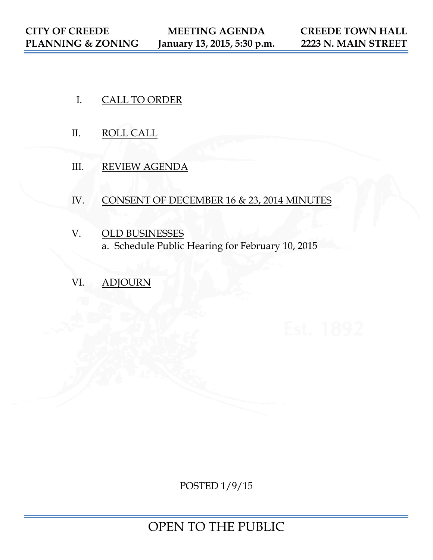- I. CALL TO ORDER
- II. ROLL CALL
- III. REVIEW AGENDA
- IV. CONSENT OF DECEMBER 16 & 23, 2014 MINUTES
- V. OLD BUSINESSES a. Schedule Public Hearing for February 10, 2015
- VI. ADJOURN

POSTED 1/9/15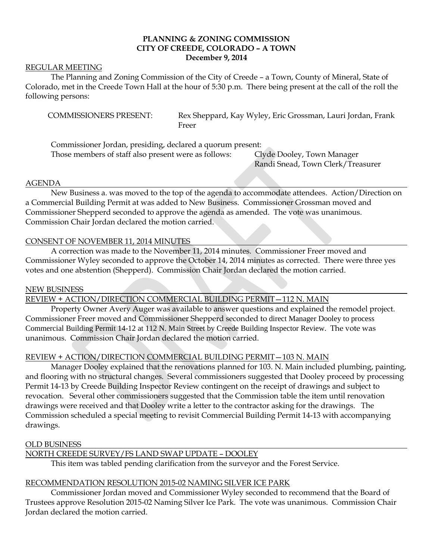# **PLANNING & ZONING COMMISSION CITY OF CREEDE, COLORADO – A TOWN December 9, 2014**

### REGULAR MEETING

The Planning and Zoning Commission of the City of Creede – a Town, County of Mineral, State of Colorado, met in the Creede Town Hall at the hour of 5:30 p.m. There being present at the call of the roll the following persons:

COMMISSIONERS PRESENT: Rex Sheppard, Kay Wyley, Eric Grossman, Lauri Jordan, Frank Freer

Commissioner Jordan, presiding, declared a quorum present: Those members of staff also present were as follows: Clyde Dooley, Town Manager

Randi Snead, Town Clerk/Treasurer

#### AGENDA

New Business a. was moved to the top of the agenda to accommodate attendees. Action/Direction on a Commercial Building Permit at was added to New Business. Commissioner Grossman moved and Commissioner Shepperd seconded to approve the agenda as amended. The vote was unanimous. Commission Chair Jordan declared the motion carried.

### CONSENT OF NOVEMBER 11, 2014 MINUTES

A correction was made to the November 11, 2014 minutes. Commissioner Freer moved and Commissioner Wyley seconded to approve the October 14, 2014 minutes as corrected. There were three yes votes and one abstention (Shepperd). Commission Chair Jordan declared the motion carried.

### NEW BUSINESS

REVIEW + ACTION/DIRECTION COMMERCIAL BUILDING PERMIT—112 N. MAIN

Property Owner Avery Auger was available to answer questions and explained the remodel project. Commissioner Freer moved and Commissioner Shepperd seconded to direct Manager Dooley to process Commercial Building Permit 14-12 at 112 N. Main Street by Creede Building Inspector Review. The vote was unanimous. Commission Chair Jordan declared the motion carried.

### REVIEW + ACTION/DIRECTION COMMERCIAL BUILDING PERMIT—103 N. MAIN

Manager Dooley explained that the renovations planned for 103. N. Main included plumbing, painting, and flooring with no structural changes. Several commissioners suggested that Dooley proceed by processing Permit 14-13 by Creede Building Inspector Review contingent on the receipt of drawings and subject to revocation. Several other commissioners suggested that the Commission table the item until renovation drawings were received and that Dooley write a letter to the contractor asking for the drawings. The Commission scheduled a special meeting to revisit Commercial Building Permit 14-13 with accompanying drawings.

### OLD BUSINESS

### NORTH CREEDE SURVEY/FS LAND SWAP UPDATE – DOOLEY

This item was tabled pending clarification from the surveyor and the Forest Service.

### RECOMMENDATION RESOLUTION 2015-02 NAMING SILVER ICE PARK

Commissioner Jordan moved and Commissioner Wyley seconded to recommend that the Board of Trustees approve Resolution 2015-02 Naming Silver Ice Park. The vote was unanimous. Commission Chair Jordan declared the motion carried.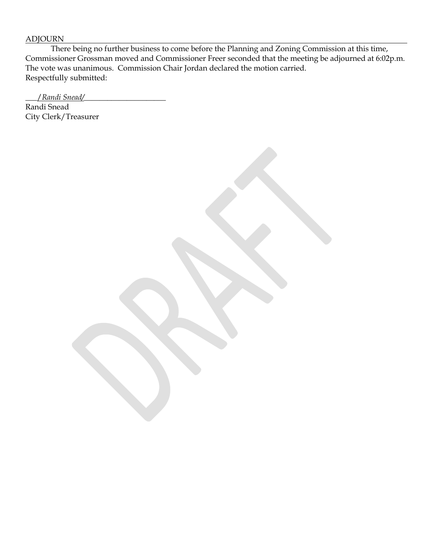## ADJOURN

There being no further business to come before the Planning and Zoning Commission at this time, Commissioner Grossman moved and Commissioner Freer seconded that the meeting be adjourned at 6:02p.m. The vote was unanimous. Commission Chair Jordan declared the motion carried. Respectfully submitted:

\_\_\_/*Randi Snead/*\_\_\_\_\_\_\_\_\_\_\_\_\_\_\_\_\_\_\_\_\_

Randi Snead City Clerk/Treasurer